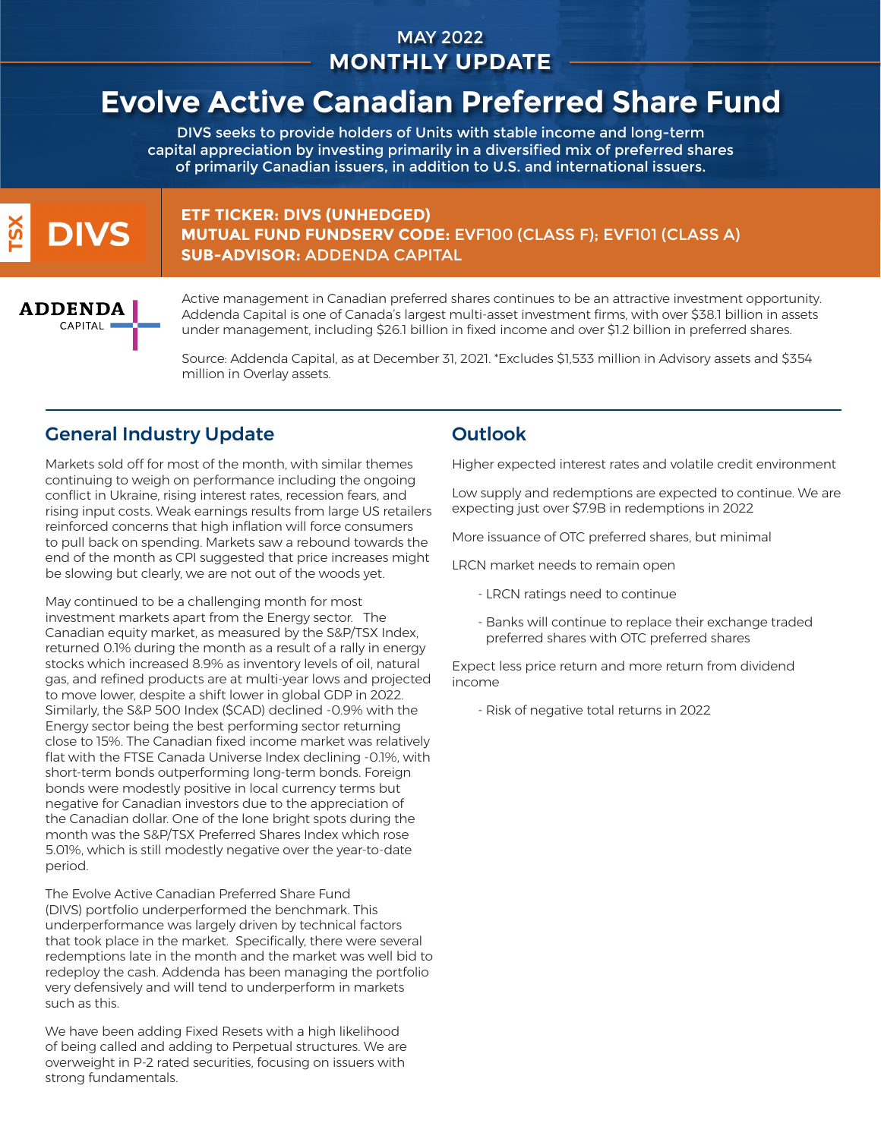### MAY 2022 **MONTHLY UPDATE**

# **Evolve Active Canadian Preferred Share Fund**

DIVS seeks to provide holders of Units with stable income and long-term capital appreciation by investing primarily in a diversified mix of preferred shares of primarily Canadian issuers, in addition to U.S. and international issuers.



#### **ETF TICKER: DIVS (UNHEDGED) MUTUAL FUND FUNDSERV CODE:** EVF100 (CLASS F); EVF101 (CLASS A) **SUB-ADVISOR:** ADDENDA CAPITAL

**ADDENDA** CAPITAL I

Active management in Canadian preferred shares continues to be an attractive investment opportunity. Addenda Capital is one of Canada's largest multi-asset investment firms, with over \$38.1 billion in assets under management, including \$26.1 billion in fixed income and over \$1.2 billion in preferred shares.

Source: Addenda Capital, as at December 31, 2021. \*Excludes \$1,533 million in Advisory assets and \$354 million in Overlay assets.

## General Industry Update

Markets sold off for most of the month, with similar themes continuing to weigh on performance including the ongoing conflict in Ukraine, rising interest rates, recession fears, and rising input costs. Weak earnings results from large US retailers reinforced concerns that high inflation will force consumers to pull back on spending. Markets saw a rebound towards the end of the month as CPI suggested that price increases might be slowing but clearly, we are not out of the woods yet.

May continued to be a challenging month for most investment markets apart from the Energy sector. The Canadian equity market, as measured by the S&P/TSX Index, returned 0.1% during the month as a result of a rally in energy stocks which increased 8.9% as inventory levels of oil, natural gas, and refined products are at multi-year lows and projected to move lower, despite a shift lower in global GDP in 2022. Similarly, the S&P 500 Index (\$CAD) declined -0.9% with the Energy sector being the best performing sector returning close to 15%. The Canadian fixed income market was relatively flat with the FTSE Canada Universe Index declining -0.1%, with short-term bonds outperforming long-term bonds. Foreign bonds were modestly positive in local currency terms but negative for Canadian investors due to the appreciation of the Canadian dollar. One of the lone bright spots during the month was the S&P/TSX Preferred Shares Index which rose 5.01%, which is still modestly negative over the year-to-date period.

The Evolve Active Canadian Preferred Share Fund (DIVS) portfolio underperformed the benchmark. This underperformance was largely driven by technical factors that took place in the market. Specifically, there were several redemptions late in the month and the market was well bid to redeploy the cash. Addenda has been managing the portfolio very defensively and will tend to underperform in markets such as this.

We have been adding Fixed Resets with a high likelihood of being called and adding to Perpetual structures. We are overweight in P-2 rated securities, focusing on issuers with strong fundamentals.

## **Outlook**

Higher expected interest rates and volatile credit environment

Low supply and redemptions are expected to continue. We are expecting just over \$7.9B in redemptions in 2022

More issuance of OTC preferred shares, but minimal

LRCN market needs to remain open

- LRCN ratings need to continue
- Banks will continue to replace their exchange traded preferred shares with OTC preferred shares

Expect less price return and more return from dividend income

- Risk of negative total returns in 2022